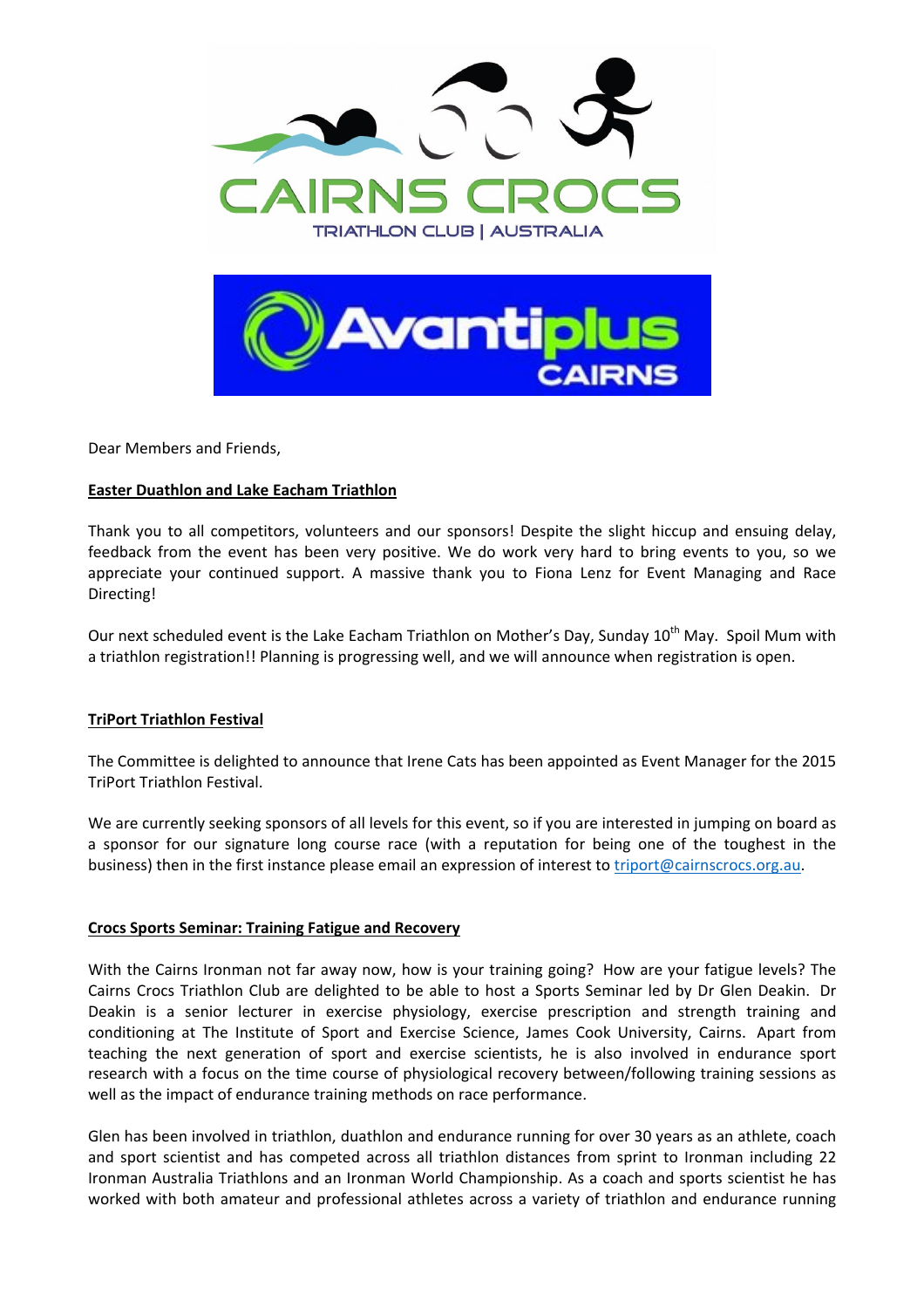

Dear Members and Friends,

# **Easter Duathlon and Lake Eacham Triathlon**

Thank you to all competitors, volunteers and our sponsors! Despite the slight hiccup and ensuing delay, feedback from the event has been very positive. We do work very hard to bring events to you, so we appreciate your continued support. A massive thank you to Fiona Lenz for Event Managing and Race Directing!

Our next scheduled event is the Lake Eacham Triathlon on Mother's Day, Sunday 10<sup>th</sup> May. Spoil Mum with a triathlon registration!! Planning is progressing well, and we will announce when registration is open.

## **TriPort Triathlon Festival**

The Committee is delighted to announce that Irene Cats has been appointed as Event Manager for the 2015 TriPort Triathlon Festival.

We are currently seeking sponsors of all levels for this event, so if you are interested in jumping on board as a sponsor for our signature long course race (with a reputation for being one of the toughest in the business) then in the first instance please email an expression of interest to triport@cairnscrocs.org.au.

## **Crocs Sports Seminar: Training Fatigue and Recovery**

With the Cairns Ironman not far away now, how is your training going? How are your fatigue levels? The Cairns Crocs Triathlon Club are delighted to be able to host a Sports Seminar led by Dr Glen Deakin. Dr Deakin is a senior lecturer in exercise physiology, exercise prescription and strength training and conditioning at The Institute of Sport and Exercise Science, James Cook University, Cairns. Apart from teaching the next generation of sport and exercise scientists, he is also involved in endurance sport research with a focus on the time course of physiological recovery between/following training sessions as well as the impact of endurance training methods on race performance.

Glen has been involved in triathlon, duathlon and endurance running for over 30 years as an athlete, coach and sport scientist and has competed across all triathlon distances from sprint to Ironman including 22 Ironman Australia Triathlons and an Ironman World Championship. As a coach and sports scientist he has worked with both amateur and professional athletes across a variety of triathlon and endurance running